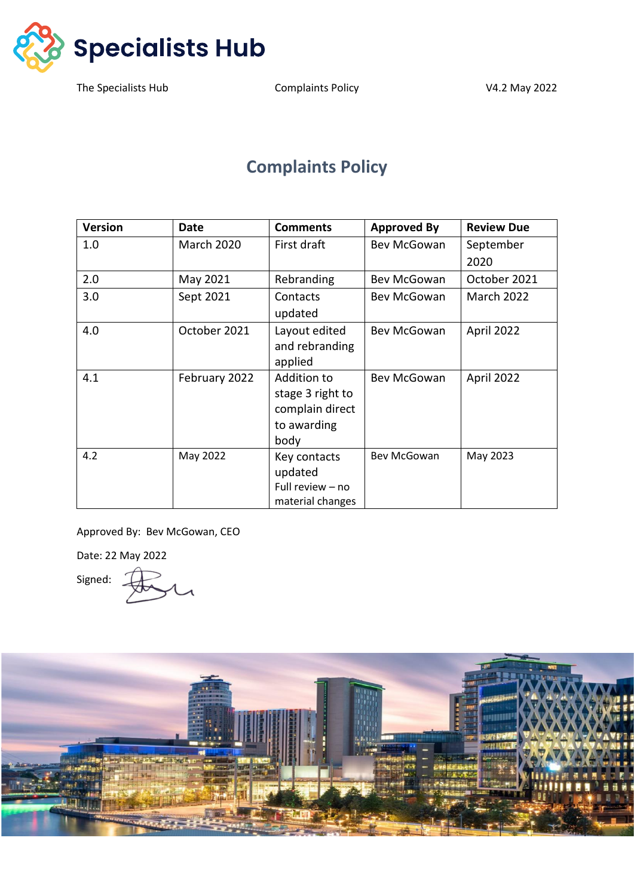

# **Complaints Policy**

| <b>Version</b> | Date              | <b>Comments</b>  | <b>Approved By</b> | <b>Review Due</b> |
|----------------|-------------------|------------------|--------------------|-------------------|
| 1.0            | <b>March 2020</b> | First draft      | Bev McGowan        | September         |
|                |                   |                  |                    | 2020              |
| 2.0            | May 2021          | Rebranding       | Bev McGowan        | October 2021      |
| 3.0            | Sept 2021         | Contacts         | Bev McGowan        | <b>March 2022</b> |
|                |                   | updated          |                    |                   |
| 4.0            | October 2021      | Layout edited    | Bev McGowan        | April 2022        |
|                |                   | and rebranding   |                    |                   |
|                |                   | applied          |                    |                   |
| 4.1            | February 2022     | Addition to      | Bev McGowan        | April 2022        |
|                |                   | stage 3 right to |                    |                   |
|                |                   | complain direct  |                    |                   |
|                |                   | to awarding      |                    |                   |
|                |                   | body             |                    |                   |
| 4.2            | May 2022          | Key contacts     | Bev McGowan        | May 2023          |
|                |                   | updated          |                    |                   |
|                |                   | Full review - no |                    |                   |
|                |                   | material changes |                    |                   |

Approved By: Bev McGowan, CEO

Date: 22 May 2022

Signed:

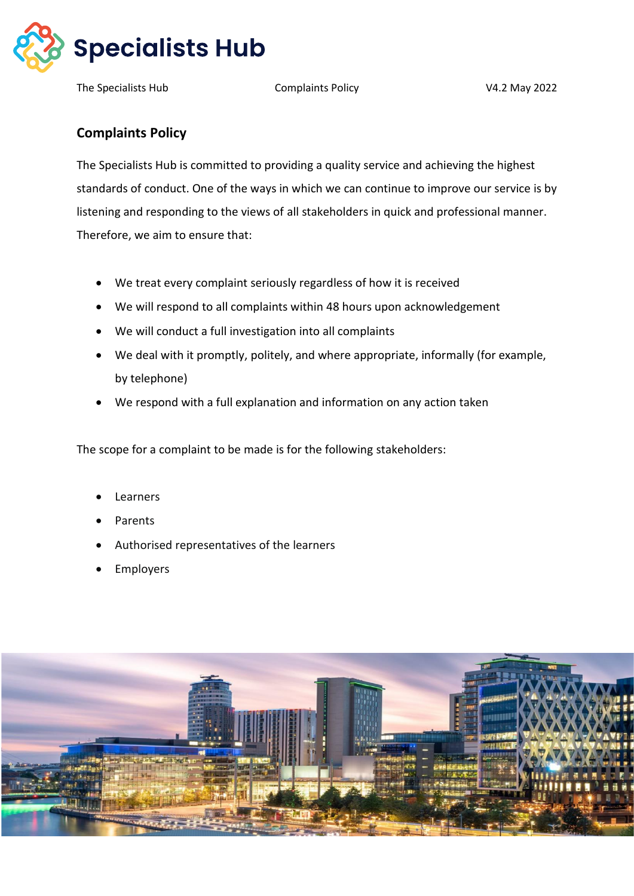

## **Complaints Policy**

The Specialists Hub is committed to providing a quality service and achieving the highest standards of conduct. One of the ways in which we can continue to improve our service is by listening and responding to the views of all stakeholders in quick and professional manner. Therefore, we aim to ensure that:

- We treat every complaint seriously regardless of how it is received
- We will respond to all complaints within 48 hours upon acknowledgement
- We will conduct a full investigation into all complaints
- We deal with it promptly, politely, and where appropriate, informally (for example, by telephone)
- We respond with a full explanation and information on any action taken

The scope for a complaint to be made is for the following stakeholders:

- **Learners**
- Parents
- Authorised representatives of the learners
- **Employers**

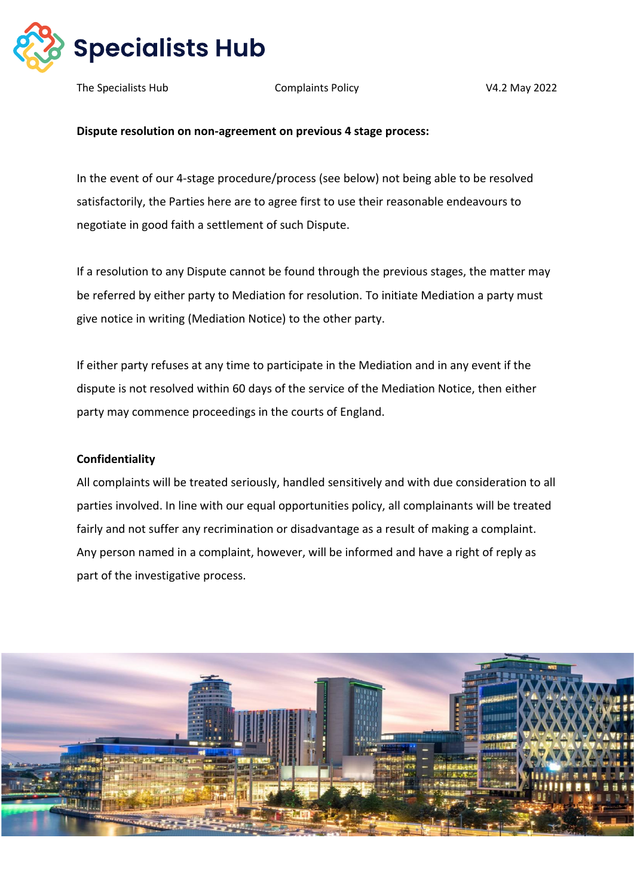

#### **Dispute resolution on non-agreement on previous 4 stage process:**

In the event of our 4-stage procedure/process (see below) not being able to be resolved satisfactorily, the Parties here are to agree first to use their reasonable endeavours to negotiate in good faith a settlement of such Dispute.

If a resolution to any Dispute cannot be found through the previous stages, the matter may be referred by either party to Mediation for resolution. To initiate Mediation a party must give notice in writing (Mediation Notice) to the other party.

If either party refuses at any time to participate in the Mediation and in any event if the dispute is not resolved within 60 days of the service of the Mediation Notice, then either party may commence proceedings in the courts of England.

#### **Confidentiality**

All complaints will be treated seriously, handled sensitively and with due consideration to all parties involved. In line with our equal opportunities policy, all complainants will be treated fairly and not suffer any recrimination or disadvantage as a result of making a complaint. Any person named in a complaint, however, will be informed and have a right of reply as part of the investigative process.

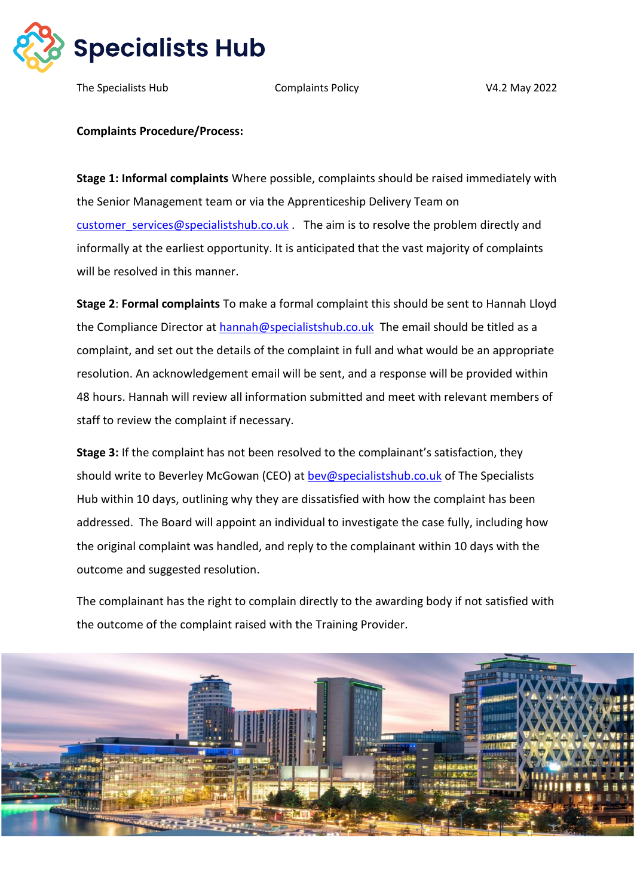

The Specialists Hub Complaints Policy V4.2 May 2022

### **Complaints Procedure/Process:**

**Stage 1: Informal complaints** Where possible, complaints should be raised immediately with the Senior Management team or via the Apprenticeship Delivery Team on [customer\\_services@specialistshub.co.uk](mailto:customer_services@specialistshub.co.uk) . The aim is to resolve the problem directly and informally at the earliest opportunity. It is anticipated that the vast majority of complaints will be resolved in this manner.

**Stage 2**: **Formal complaints** To make a formal complaint this should be sent to Hannah Lloyd the Compliance Director at [hannah@specialistshub.co.uk](mailto:hannah@specialistshub.co.uk) The email should be titled as a complaint, and set out the details of the complaint in full and what would be an appropriate resolution. An acknowledgement email will be sent, and a response will be provided within 48 hours. Hannah will review all information submitted and meet with relevant members of staff to review the complaint if necessary.

**Stage 3:** If the complaint has not been resolved to the complainant's satisfaction, they should write to Beverley McGowan (CEO) at [bev@specialistshub.co.uk](mailto:bev@specialistshub.co.uk) of The Specialists Hub within 10 days, outlining why they are dissatisfied with how the complaint has been addressed. The Board will appoint an individual to investigate the case fully, including how the original complaint was handled, and reply to the complainant within 10 days with the outcome and suggested resolution.

The complainant has the right to complain directly to the awarding body if not satisfied with the outcome of the complaint raised with the Training Provider.